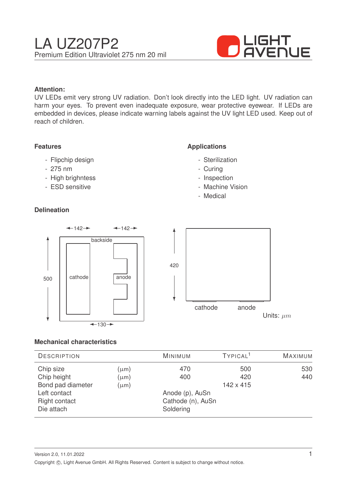

#### **Attention:**

UV LEDs emit very strong UV radiation. Don't look directly into the LED light. UV radiation can harm your eyes. To prevent even inadequate exposure, wear protective eyewear. If LEDs are embedded in devices, please indicate warning labels against the UV light LED used. Keep out of reach of children.

#### **Features**

- Flipchip design
- 275 nm
- High brighntess
- ESD sensitive

## **Delineation**

## **Applications**

- Sterilization
- Curing
- Inspection
- Machine Vision
- Medical



#### **Mechanical characteristics**

| <b>DESCRIPTION</b>                                               |                        | <b>MINIMUM</b>                                    | TYPICAL <sup>1</sup> | <b>MAXIMUM</b> |
|------------------------------------------------------------------|------------------------|---------------------------------------------------|----------------------|----------------|
| Chip size<br>Chip height                                         | $(\mu m)$<br>$(\mu m)$ | 470<br>400                                        | 500<br>420           | 530<br>440     |
| Bond pad diameter<br>Left contact<br>Right contact<br>Die attach | $(\mu m)$              | Anode (p), AuSn<br>Cathode (n), AuSn<br>Soldering | 142 x 415            |                |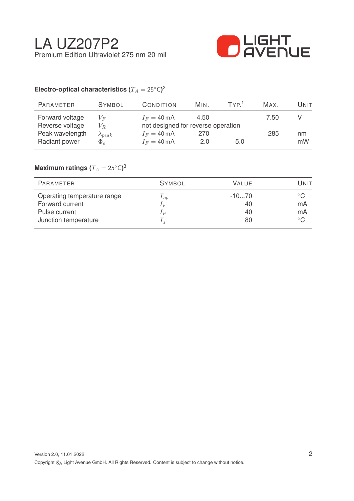

# Electro-optical characteristics ( $T_A = 25^{\circ} \text{C}$ )<sup>2</sup>

| PARAMETER       | <b>SYMBOL</b>    | <b>CONDITION</b>                   | MIN. | TYP <sup>1</sup> | MAX. | UNIT |
|-----------------|------------------|------------------------------------|------|------------------|------|------|
| Forward voltage | $V_F$            | $I_F = 40 \text{ mA}$              | 4.50 |                  | 7.50 |      |
| Reverse voltage | $V_R$            | not designed for reverse operation |      |                  |      |      |
| Peak wavelength | $\lambda_{peak}$ | $I_F = 40 \text{ mA}$              | 270  |                  | 285  | nm   |
| Radiant power   | $\Phi_e$         | $I_F = 40 \text{ mA}$              | 2.0  | 5.0              |      | mW   |

## $\mathsf{Maximum}$  ratings  $(T_A = 25^{\circ} \mathsf{C})^3$

| PARAMETER                   | <b>SYMBOL</b> | <b>VALUE</b> | Unit          |
|-----------------------------|---------------|--------------|---------------|
| Operating temperature range | $T_{op}$      | $-1070$      | $^{\circ}$ C. |
| Forward current             | $I_F$         | 40           | mA            |
| Pulse current               | $_{1P}$       | 40           | mA            |
| Junction temperature        | $T_i$         | 80           | $^{\circ}$ C  |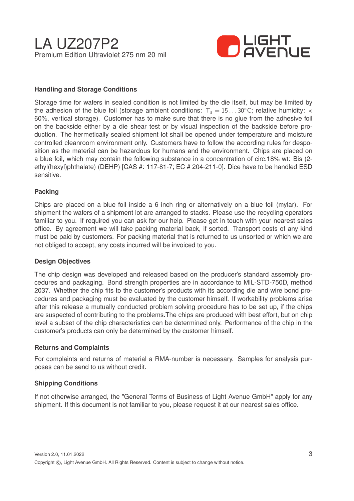

#### **Handling and Storage Conditions**

Storage time for wafers in sealed condition is not limited by the die itself, but may be limited by the adhesion of the blue foil (storage ambient conditions:  $T_a = 15...30^{\circ}$ C; relative humidity: < 60%, vertical storage). Customer has to make sure that there is no glue from the adhesive foil on the backside either by a die shear test or by visual inspection of the backside before production. The hermetically sealed shipment lot shall be opened under temperature and moisture controlled cleanroom environment only. Customers have to follow the according rules for desposition as the material can be hazardous for humans and the environment. Chips are placed on a blue foil, which may contain the following substance in a concentration of circ.18% wt: Bis (2 ethyl(hexyl)phthalate) (DEHP) [CAS #: 117-81-7; EC # 204-211-0]. Dice have to be handled ESD sensitive.

#### **Packing**

Chips are placed on a blue foil inside a 6 inch ring or alternatively on a blue foil (mylar). For shipment the wafers of a shipment lot are arranged to stacks. Please use the recycling operators familiar to you. If required you can ask for our help. Please get in touch with your nearest sales office. By agreement we will take packing material back, if sorted. Transport costs of any kind must be paid by customers. For packing material that is returned to us unsorted or which we are not obliged to accept, any costs incurred will be invoiced to you.

#### **Design Objectives**

The chip design was developed and released based on the producer's standard assembly procedures and packaging. Bond strength properties are in accordance to MIL-STD-750D, method 2037. Whether the chip fits to the customer's products with its according die and wire bond procedures and packaging must be evaluated by the customer himself. If workability problems arise after this release a mutually conducted problem solving procedure has to be set up, if the chips are suspected of contributing to the problems.The chips are produced with best effort, but on chip level a subset of the chip characteristics can be determined only. Performance of the chip in the customer's products can only be determined by the customer himself.

#### **Returns and Complaints**

For complaints and returns of material a RMA-number is necessary. Samples for analysis purposes can be send to us without credit.

#### **Shipping Conditions**

If not otherwise arranged, the "General Terms of Business of Light Avenue GmbH" apply for any shipment. If this document is not familiar to you, please request it at our nearest sales office.

Version 2.0, 11.01.2022 Copyright ©, Light Avenue GmbH. All Rights Reserved. Content is subject to change without notice.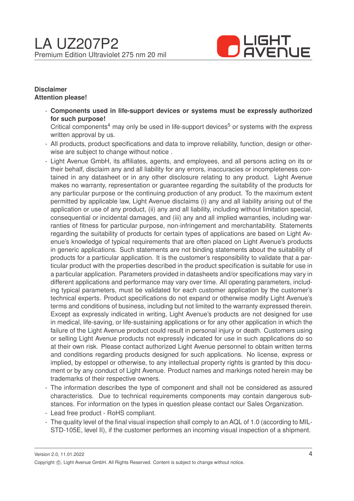

#### **Disclaimer Attention please!**

- **Components used in life-support devices or systems must be expressly authorized for such purpose!**

Critical components<sup>4</sup> may only be used in life-support devices<sup>5</sup> or systems with the express written approval by us.

- All products, product specifications and data to improve reliability, function, design or otherwise are subject to change without notice .
- Light Avenue GmbH, its affiliates, agents, and employees, and all persons acting on its or their behalf, disclaim any and all liability for any errors, inaccuracies or incompleteness contained in any datasheet or in any other disclosure relating to any product. Light Avenue makes no warranty, representation or guarantee regarding the suitability of the products for any particular purpose or the continuing production of any product. To the maximum extent permitted by applicable law, Light Avenue disclaims (i) any and all liability arising out of the application or use of any product, (ii) any and all liability, including without limitation special, consequential or incidental damages, and (iii) any and all implied warranties, including warranties of fitness for particular purpose, non-infringement and merchantability. Statements regarding the suitability of products for certain types of applications are based on Light Avenue's knowledge of typical requirements that are often placed on Light Avenue's products in generic applications. Such statements are not binding statements about the suitability of products for a particular application. It is the customer's responsibility to validate that a particular product with the properties described in the product specification is suitable for use in a particular application. Parameters provided in datasheets and/or specifications may vary in different applications and performance may vary over time. All operating parameters, including typical parameters, must be validated for each customer application by the customer's technical experts. Product specifications do not expand or otherwise modify Light Avenue's terms and conditions of business, including but not limited to the warranty expressed therein. Except as expressly indicated in writing, Light Avenue's products are not designed for use in medical, life-saving, or life-sustaining applications or for any other application in which the failure of the Light Avenue product could result in personal injury or death. Customers using or selling Light Avenue products not expressly indicated for use in such applications do so at their own risk. Please contact authorized Light Avenue personnel to obtain written terms and conditions regarding products designed for such applications. No license, express or implied, by estoppel or otherwise, to any intellectual property rights is granted by this document or by any conduct of Light Avenue. Product names and markings noted herein may be trademarks of their respective owners.
- The information describes the type of component and shall not be considered as assured characteristics. Due to technical requirements components may contain dangerous substances. For information on the types in question please contact our Sales Organization.
- Lead free product RoHS compliant.
- The quality level of the final visual inspection shall comply to an AQL of 1.0 (according to MIL-STD-105E, level II), if the customer performes an incoming visual inspection of a shipment.